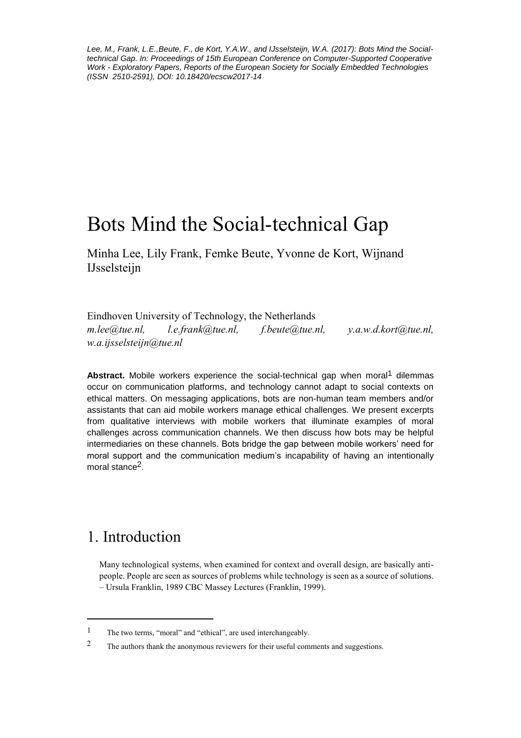*Lee, M., Frank, L.E.,Beute, F., de Kort, Y.A.W., and IJsselsteijn, W.A. (2017): Bots Mind the Socialtechnical Gap. In: Proceedings of 15th European Conference on Computer-Supported Cooperative Work - Exploratory Papers, Reports of the European Society for Socially Embedded Technologies (ISSN 2510-2591), DOI: 10.18420/ecscw2017-14*

# Bots Mind the Social-technical Gap

Minha Lee, Lily Frank, Femke Beute, Yvonne de Kort, Wijnand IJsselsteijn

Eindhoven University of Technology, the Netherlands *m.lee@tue.nl, l.e.frank@tue.nl, f.beute@tue.nl, y.a.w.d.kort@tue.nl, w.a.ijsselsteijn@tue.nl*

**Abstract.** Mobile workers experience the social-technical gap when moral<sup>1</sup> dilemmas occur on communication platforms, and technology cannot adapt to social contexts on ethical matters. On messaging applications, bots are non-human team members and/or assistants that can aid mobile workers manage ethical challenges. We present excerpts from qualitative interviews with mobile workers that illuminate examples of moral challenges across communication channels. We then discuss how bots may be helpful intermediaries on these channels. Bots bridge the gap between mobile workers' need for moral support and the communication medium's incapability of having an intentionally moral stance<sup>2</sup>.

# 1. Introduction

 $\overline{a}$ 

Many technological systems, when examined for context and overall design, are basically antipeople. People are seen as sources of problems while technology is seen as a source of solutions. – Ursula Franklin, 1989 CBC Massey Lectures (Franklin, 1999).

<sup>1</sup> The two terms, "moral" and "ethical", are used interchangeably.

<sup>&</sup>lt;sup>2</sup> The authors thank the anonymous reviewers for their useful comments and suggestions.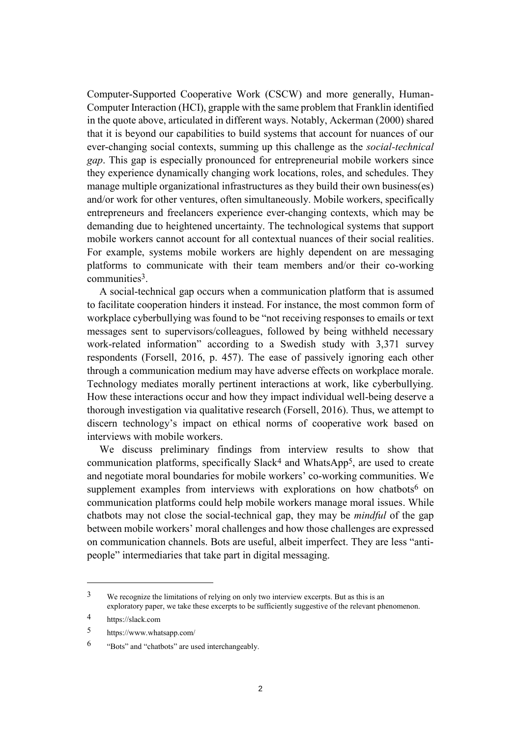Computer-Supported Cooperative Work (CSCW) and more generally, Human-Computer Interaction (HCI), grapple with the same problem that Franklin identified in the quote above, articulated in different ways. Notably, Ackerman (2000) shared that it is beyond our capabilities to build systems that account for nuances of our ever-changing social contexts, summing up this challenge as the *social-technical gap*. This gap is especially pronounced for entrepreneurial mobile workers since they experience dynamically changing work locations, roles, and schedules. They manage multiple organizational infrastructures as they build their own business(es) and/or work for other ventures, often simultaneously. Mobile workers, specifically entrepreneurs and freelancers experience ever-changing contexts, which may be demanding due to heightened uncertainty. The technological systems that support mobile workers cannot account for all contextual nuances of their social realities. For example, systems mobile workers are highly dependent on are messaging platforms to communicate with their team members and/or their co-working communities3.

A social-technical gap occurs when a communication platform that is assumed to facilitate cooperation hinders it instead. For instance, the most common form of workplace cyberbullying was found to be "not receiving responses to emails or text messages sent to supervisors/colleagues, followed by being withheld necessary work-related information" according to a Swedish study with 3,371 survey respondents (Forsell, 2016, p. 457). The ease of passively ignoring each other through a communication medium may have adverse effects on workplace morale. Technology mediates morally pertinent interactions at work, like cyberbullying. How these interactions occur and how they impact individual well-being deserve a thorough investigation via qualitative research (Forsell, 2016). Thus, we attempt to discern technology's impact on ethical norms of cooperative work based on interviews with mobile workers.

We discuss preliminary findings from interview results to show that communication platforms, specifically Slack4 and WhatsApp5, are used to create and negotiate moral boundaries for mobile workers' co-working communities. We supplement examples from interviews with explorations on how chatbots<sup>6</sup> on communication platforms could help mobile workers manage moral issues. While chatbots may not close the social-technical gap, they may be *mindful* of the gap between mobile workers' moral challenges and how those challenges are expressed on communication channels. Bots are useful, albeit imperfect. They are less "antipeople" intermediaries that take part in digital messaging.

<sup>3</sup> We recognize the limitations of relying on only two interview excerpts. But as this is an exploratory paper, we take these excerpts to be sufficiently suggestive of the relevant phenomenon.

<sup>4</sup> https://slack.com

<sup>5</sup> https://www.whatsapp.com/

<sup>6</sup> "Bots" and "chatbots" are used interchangeably.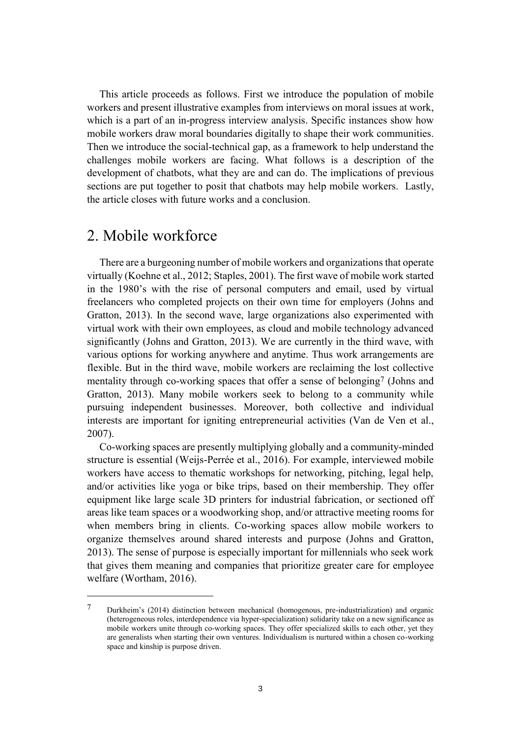This article proceeds as follows. First we introduce the population of mobile workers and present illustrative examples from interviews on moral issues at work, which is a part of an in-progress interview analysis. Specific instances show how mobile workers draw moral boundaries digitally to shape their work communities. Then we introduce the social-technical gap, as a framework to help understand the challenges mobile workers are facing. What follows is a description of the development of chatbots, what they are and can do. The implications of previous sections are put together to posit that chatbots may help mobile workers. Lastly, the article closes with future works and a conclusion.

#### 2. Mobile workforce

 $\overline{a}$ 

There are a burgeoning number of mobile workers and organizations that operate virtually (Koehne et al., 2012; Staples, 2001). The first wave of mobile work started in the 1980's with the rise of personal computers and email, used by virtual freelancers who completed projects on their own time for employers (Johns and Gratton, 2013). In the second wave, large organizations also experimented with virtual work with their own employees, as cloud and mobile technology advanced significantly (Johns and Gratton, 2013). We are currently in the third wave, with various options for working anywhere and anytime. Thus work arrangements are flexible. But in the third wave, mobile workers are reclaiming the lost collective mentality through co-working spaces that offer a sense of belonging<sup>7</sup> (Johns and Gratton, 2013). Many mobile workers seek to belong to a community while pursuing independent businesses. Moreover, both collective and individual interests are important for igniting entrepreneurial activities (Van de Ven et al., 2007).

Co-working spaces are presently multiplying globally and a community-minded structure is essential (Weijs-Perrée et al., 2016). For example, interviewed mobile workers have access to thematic workshops for networking, pitching, legal help, and/or activities like yoga or bike trips, based on their membership. They offer equipment like large scale 3D printers for industrial fabrication, or sectioned off areas like team spaces or a woodworking shop, and/or attractive meeting rooms for when members bring in clients. Co-working spaces allow mobile workers to organize themselves around shared interests and purpose (Johns and Gratton, 2013). The sense of purpose is especially important for millennials who seek work that gives them meaning and companies that prioritize greater care for employee welfare (Wortham, 2016).

<sup>7</sup> Durkheim's (2014) distinction between mechanical (homogenous, pre-industrialization) and organic (heterogeneous roles, interdependence via hyper-specialization) solidarity take on a new significance as mobile workers unite through co-working spaces. They offer specialized skills to each other, yet they are generalists when starting their own ventures. Individualism is nurtured within a chosen co-working space and kinship is purpose driven.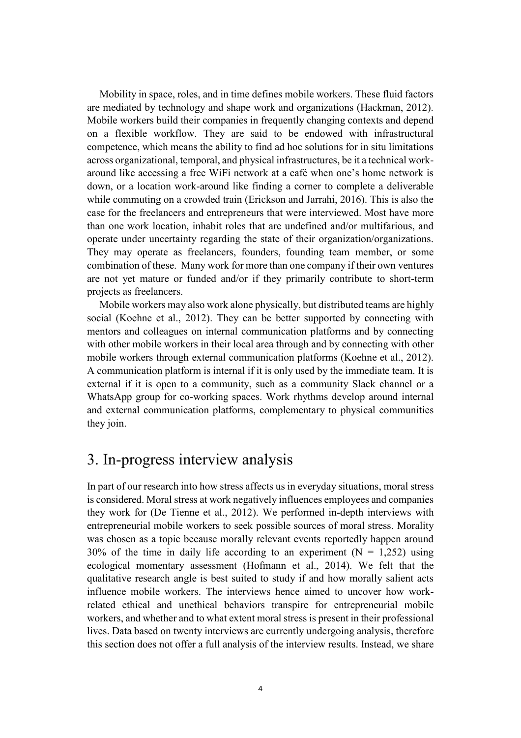Mobility in space, roles, and in time defines mobile workers. These fluid factors are mediated by technology and shape work and organizations (Hackman, 2012). Mobile workers build their companies in frequently changing contexts and depend on a flexible workflow. They are said to be endowed with infrastructural competence, which means the ability to find ad hoc solutions for in situ limitations across organizational, temporal, and physical infrastructures, be it a technical workaround like accessing a free WiFi network at a café when one's home network is down, or a location work-around like finding a corner to complete a deliverable while commuting on a crowded train (Erickson and Jarrahi, 2016). This is also the case for the freelancers and entrepreneurs that were interviewed. Most have more than one work location, inhabit roles that are undefined and/or multifarious, and operate under uncertainty regarding the state of their organization/organizations. They may operate as freelancers, founders, founding team member, or some combination of these. Many work for more than one company if their own ventures are not yet mature or funded and/or if they primarily contribute to short-term projects as freelancers.

Mobile workers may also work alone physically, but distributed teams are highly social (Koehne et al., 2012). They can be better supported by connecting with mentors and colleagues on internal communication platforms and by connecting with other mobile workers in their local area through and by connecting with other mobile workers through external communication platforms (Koehne et al., 2012). A communication platform is internal if it is only used by the immediate team. It is external if it is open to a community, such as a community Slack channel or a WhatsApp group for co-working spaces. Work rhythms develop around internal and external communication platforms, complementary to physical communities they join.

#### 3. In-progress interview analysis

In part of our research into how stress affects us in everyday situations, moral stress is considered. Moral stress at work negatively influences employees and companies they work for (De Tienne et al., 2012). We performed in-depth interviews with entrepreneurial mobile workers to seek possible sources of moral stress. Morality was chosen as a topic because morally relevant events reportedly happen around 30% of the time in daily life according to an experiment  $(N = 1,252)$  using ecological momentary assessment (Hofmann et al., 2014). We felt that the qualitative research angle is best suited to study if and how morally salient acts influence mobile workers. The interviews hence aimed to uncover how workrelated ethical and unethical behaviors transpire for entrepreneurial mobile workers, and whether and to what extent moral stress is present in their professional lives. Data based on twenty interviews are currently undergoing analysis, therefore this section does not offer a full analysis of the interview results. Instead, we share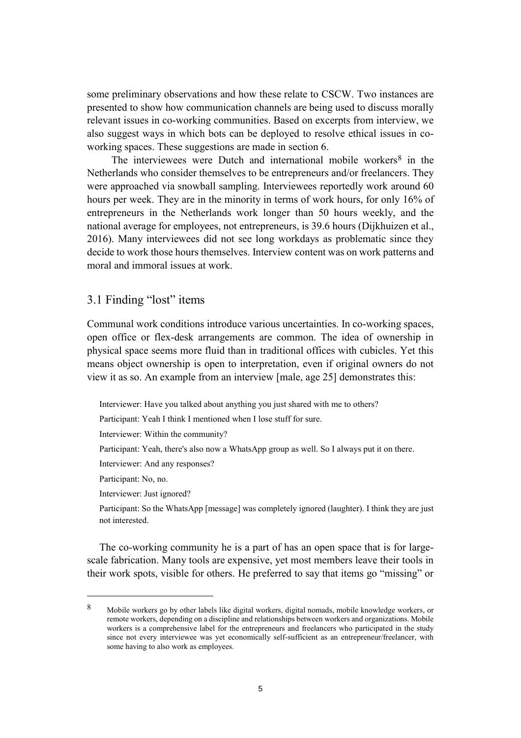some preliminary observations and how these relate to CSCW. Two instances are presented to show how communication channels are being used to discuss morally relevant issues in co-working communities. Based on excerpts from interview, we also suggest ways in which bots can be deployed to resolve ethical issues in coworking spaces. These suggestions are made in section 6.

The interviewees were Dutch and international mobile workers<sup>8</sup> in the Netherlands who consider themselves to be entrepreneurs and/or freelancers. They were approached via snowball sampling. Interviewees reportedly work around 60 hours per week. They are in the minority in terms of work hours, for only 16% of entrepreneurs in the Netherlands work longer than 50 hours weekly, and the national average for employees, not entrepreneurs, is 39.6 hours (Dijkhuizen et al., 2016). Many interviewees did not see long workdays as problematic since they decide to work those hours themselves. Interview content was on work patterns and moral and immoral issues at work.

#### 3.1 Finding "lost" items

Communal work conditions introduce various uncertainties. In co-working spaces, open office or flex-desk arrangements are common. The idea of ownership in physical space seems more fluid than in traditional offices with cubicles. Yet this means object ownership is open to interpretation, even if original owners do not view it as so. An example from an interview [male, age 25] demonstrates this:

Interviewer: Have you talked about anything you just shared with me to others?

Participant: Yeah I think I mentioned when I lose stuff for sure.

Interviewer: Within the community?

Participant: Yeah, there's also now a WhatsApp group as well. So I always put it on there.

Interviewer: And any responses?

Participant: No, no.

 $\overline{a}$ 

Interviewer: Just ignored?

Participant: So the WhatsApp [message] was completely ignored (laughter). I think they are just not interested.

The co-working community he is a part of has an open space that is for largescale fabrication. Many tools are expensive, yet most members leave their tools in their work spots, visible for others. He preferred to say that items go "missing" or

<sup>8</sup> Mobile workers go by other labels like digital workers, digital nomads, mobile knowledge workers, or remote workers, depending on a discipline and relationships between workers and organizations. Mobile workers is a comprehensive label for the entrepreneurs and freelancers who participated in the study since not every interviewee was yet economically self-sufficient as an entrepreneur/freelancer, with some having to also work as employees.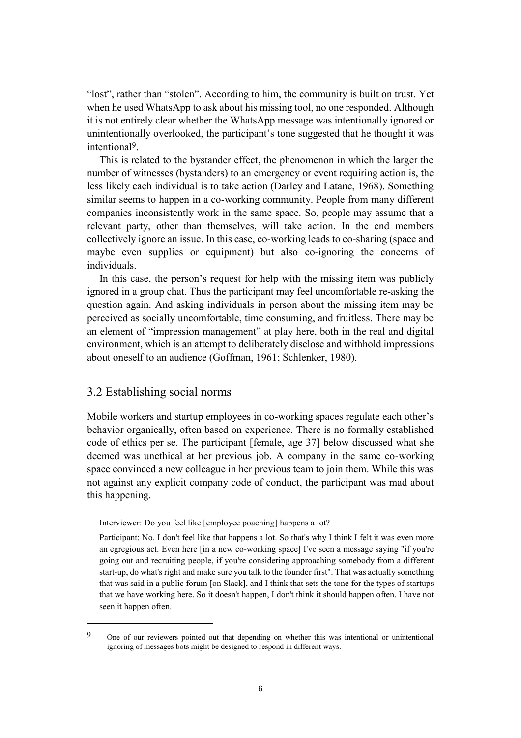"lost", rather than "stolen". According to him, the community is built on trust. Yet when he used WhatsApp to ask about his missing tool, no one responded. Although it is not entirely clear whether the WhatsApp message was intentionally ignored or unintentionally overlooked, the participant's tone suggested that he thought it was intentional9.

This is related to the bystander effect, the phenomenon in which the larger the number of witnesses (bystanders) to an emergency or event requiring action is, the less likely each individual is to take action (Darley and Latane, 1968). Something similar seems to happen in a co-working community. People from many different companies inconsistently work in the same space. So, people may assume that a relevant party, other than themselves, will take action. In the end members collectively ignore an issue. In this case, co-working leads to co-sharing (space and maybe even supplies or equipment) but also co-ignoring the concerns of individuals.

In this case, the person's request for help with the missing item was publicly ignored in a group chat. Thus the participant may feel uncomfortable re-asking the question again. And asking individuals in person about the missing item may be perceived as socially uncomfortable, time consuming, and fruitless. There may be an element of "impression management" at play here, both in the real and digital environment, which is an attempt to deliberately disclose and withhold impressions about oneself to an audience (Goffman, 1961; Schlenker, 1980).

#### 3.2 Establishing social norms

 $\overline{a}$ 

Mobile workers and startup employees in co-working spaces regulate each other's behavior organically, often based on experience. There is no formally established code of ethics per se. The participant [female, age 37] below discussed what she deemed was unethical at her previous job. A company in the same co-working space convinced a new colleague in her previous team to join them. While this was not against any explicit company code of conduct, the participant was mad about this happening.

Interviewer: Do you feel like [employee poaching] happens a lot?

Participant: No. I don't feel like that happens a lot. So that's why I think I felt it was even more an egregious act. Even here [in a new co-working space] I've seen a message saying "if you're going out and recruiting people, if you're considering approaching somebody from a different start-up, do what's right and make sure you talk to the founder first". That was actually something that was said in a public forum [on Slack], and I think that sets the tone for the types of startups that we have working here. So it doesn't happen, I don't think it should happen often. I have not seen it happen often.

<sup>9</sup> One of our reviewers pointed out that depending on whether this was intentional or unintentional ignoring of messages bots might be designed to respond in different ways.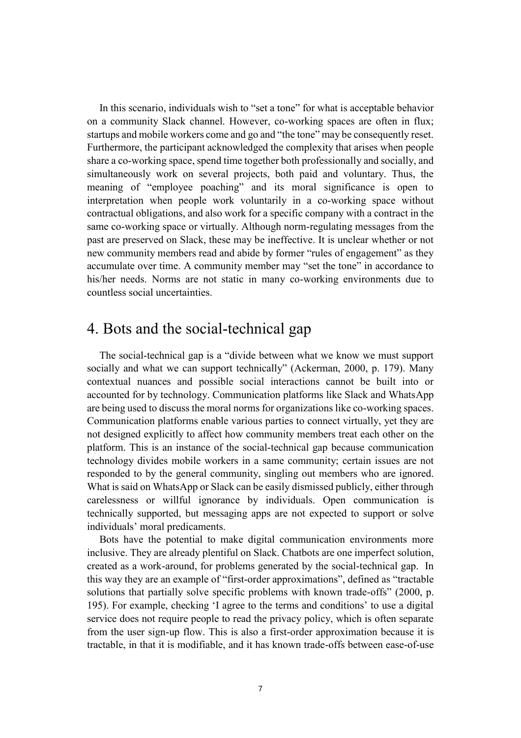In this scenario, individuals wish to "set a tone" for what is acceptable behavior on a community Slack channel. However, co-working spaces are often in flux; startups and mobile workers come and go and "the tone" may be consequently reset. Furthermore, the participant acknowledged the complexity that arises when people share a co-working space, spend time together both professionally and socially, and simultaneously work on several projects, both paid and voluntary. Thus, the meaning of "employee poaching" and its moral significance is open to interpretation when people work voluntarily in a co-working space without contractual obligations, and also work for a specific company with a contract in the same co-working space or virtually. Although norm-regulating messages from the past are preserved on Slack, these may be ineffective. It is unclear whether or not new community members read and abide by former "rules of engagement" as they accumulate over time. A community member may "set the tone" in accordance to his/her needs. Norms are not static in many co-working environments due to countless social uncertainties.

#### 4. Bots and the social-technical gap

The social-technical gap is a "divide between what we know we must support socially and what we can support technically" (Ackerman, 2000, p. 179). Many contextual nuances and possible social interactions cannot be built into or accounted for by technology. Communication platforms like Slack and WhatsApp are being used to discuss the moral norms for organizations like co-working spaces. Communication platforms enable various parties to connect virtually, yet they are not designed explicitly to affect how community members treat each other on the platform. This is an instance of the social-technical gap because communication technology divides mobile workers in a same community; certain issues are not responded to by the general community, singling out members who are ignored. What is said on WhatsApp or Slack can be easily dismissed publicly, either through carelessness or willful ignorance by individuals. Open communication is technically supported, but messaging apps are not expected to support or solve individuals' moral predicaments.

Bots have the potential to make digital communication environments more inclusive. They are already plentiful on Slack. Chatbots are one imperfect solution, created as a work-around, for problems generated by the social-technical gap. In this way they are an example of "first-order approximations", defined as "tractable solutions that partially solve specific problems with known trade-offs" (2000, p. 195). For example, checking 'I agree to the terms and conditions' to use a digital service does not require people to read the privacy policy, which is often separate from the user sign-up flow. This is also a first-order approximation because it is tractable, in that it is modifiable, and it has known trade-offs between ease-of-use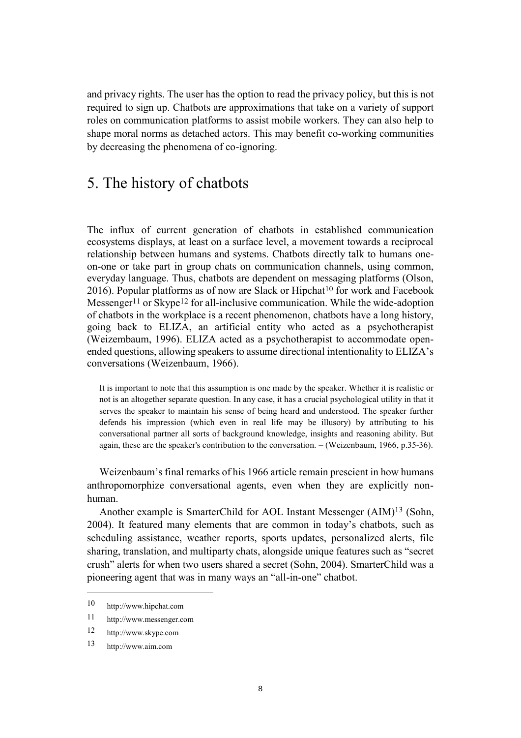and privacy rights. The user has the option to read the privacy policy, but this is not required to sign up. Chatbots are approximations that take on a variety of support roles on communication platforms to assist mobile workers. They can also help to shape moral norms as detached actors. This may benefit co-working communities by decreasing the phenomena of co-ignoring.

### 5. The history of chatbots

The influx of current generation of chatbots in established communication ecosystems displays, at least on a surface level, a movement towards a reciprocal relationship between humans and systems. Chatbots directly talk to humans oneon-one or take part in group chats on communication channels, using common, everyday language. Thus, chatbots are dependent on messaging platforms (Olson,  $2016$ ). Popular platforms as of now are Slack or Hipchat<sup>10</sup> for work and Facebook Messenger<sup>11</sup> or Skype<sup>12</sup> for all-inclusive communication. While the wide-adoption of chatbots in the workplace is a recent phenomenon, chatbots have a long history, going back to ELIZA, an artificial entity who acted as a psychotherapist (Weizembaum, 1996). ELIZA acted as a psychotherapist to accommodate openended questions, allowing speakers to assume directional intentionality to ELIZA's conversations (Weizenbaum, 1966).

It is important to note that this assumption is one made by the speaker. Whether it is realistic or not is an altogether separate question. In any case, it has a crucial psychological utility in that it serves the speaker to maintain his sense of being heard and understood. The speaker further defends his impression (which even in real life may be illusory) by attributing to his conversational partner all sorts of background knowledge, insights and reasoning ability. But again, these are the speaker's contribution to the conversation. – (Weizenbaum, 1966, p.35-36).

Weizenbaum's final remarks of his 1966 article remain prescient in how humans anthropomorphize conversational agents, even when they are explicitly nonhuman.

Another example is SmarterChild for AOL Instant Messenger (AIM)13 (Sohn, 2004). It featured many elements that are common in today's chatbots, such as scheduling assistance, weather reports, sports updates, personalized alerts, file sharing, translation, and multiparty chats, alongside unique features such as "secret crush" alerts for when two users shared a secret (Sohn, 2004). SmarterChild was a pioneering agent that was in many ways an "all-in-one" chatbot.

<sup>10</sup> http://www.hipchat.com

<sup>11</sup> http://www.messenger.com

<sup>12</sup> http://www.skype.com

<sup>13</sup> http://www.aim.com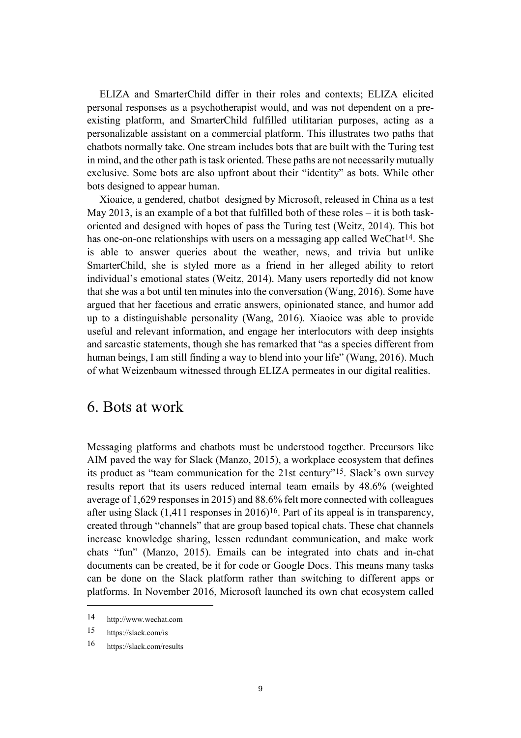ELIZA and SmarterChild differ in their roles and contexts; ELIZA elicited personal responses as a psychotherapist would, and was not dependent on a preexisting platform, and SmarterChild fulfilled utilitarian purposes, acting as a personalizable assistant on a commercial platform. This illustrates two paths that chatbots normally take. One stream includes bots that are built with the Turing test in mind, and the other path is task oriented. These paths are not necessarily mutually exclusive. Some bots are also upfront about their "identity" as bots. While other bots designed to appear human.

Xioaice, a gendered, chatbot designed by Microsoft, released in China as a test May 2013, is an example of a bot that fulfilled both of these roles – it is both taskoriented and designed with hopes of pass the Turing test (Weitz, 2014). This bot has one-on-one relationships with users on a messaging app called WeChat<sup>14</sup>. She is able to answer queries about the weather, news, and trivia but unlike SmarterChild, she is styled more as a friend in her alleged ability to retort individual's emotional states (Weitz, 2014). Many users reportedly did not know that she was a bot until ten minutes into the conversation (Wang, 2016). Some have argued that her facetious and erratic answers, opinionated stance, and humor add up to a distinguishable personality (Wang, 2016). Xiaoice was able to provide useful and relevant information, and engage her interlocutors with deep insights and sarcastic statements, though she has remarked that "as a species different from human beings, I am still finding a way to blend into your life" (Wang, 2016). Much of what Weizenbaum witnessed through ELIZA permeates in our digital realities.

#### 6. Bots at work

Messaging platforms and chatbots must be understood together. Precursors like AIM paved the way for Slack (Manzo, 2015), a workplace ecosystem that defines its product as "team communication for the 21st century"15. Slack's own survey results report that its users reduced internal team emails by 48.6% (weighted average of 1,629 responsesin 2015) and 88.6% felt more connected with colleagues after using Slack  $(1,411)$  responses in 2016)<sup>16</sup>. Part of its appeal is in transparency, created through "channels" that are group based topical chats. These chat channels increase knowledge sharing, lessen redundant communication, and make work chats "fun" (Manzo, 2015). Emails can be integrated into chats and in-chat documents can be created, be it for code or Google Docs. This means many tasks can be done on the Slack platform rather than switching to different apps or platforms. In November 2016, Microsoft launched its own chat ecosystem called

<sup>14</sup> http://www.wechat.com

<sup>15</sup> https://slack.com/is

<sup>16</sup> https://slack.com/results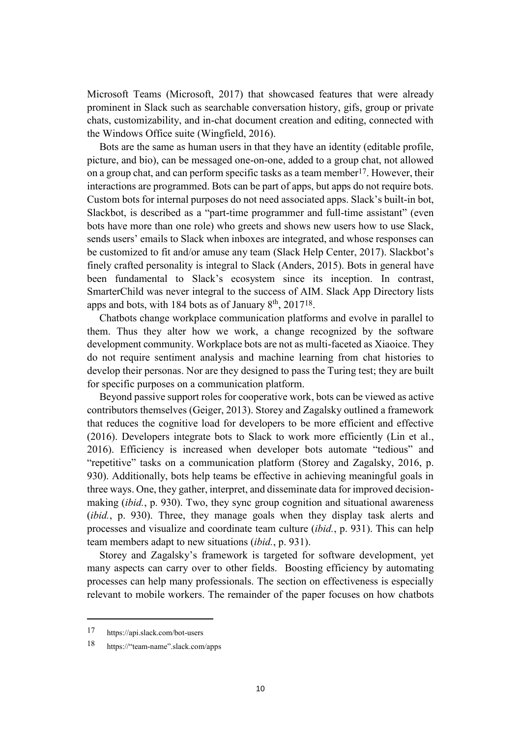Microsoft Teams (Microsoft, 2017) that showcased features that were already prominent in Slack such as searchable conversation history, gifs, group or private chats, customizability, and in-chat document creation and editing, connected with the Windows Office suite (Wingfield, 2016).

Bots are the same as human users in that they have an identity (editable profile, picture, and bio), can be messaged one-on-one, added to a group chat, not allowed on a group chat, and can perform specific tasks as a team member17. However, their interactions are programmed. Bots can be part of apps, but apps do not require bots. Custom bots for internal purposes do not need associated apps. Slack's built-in bot, Slackbot, is described as a "part-time programmer and full-time assistant" (even bots have more than one role) who greets and shows new users how to use Slack, sends users' emails to Slack when inboxes are integrated, and whose responses can be customized to fit and/or amuse any team (Slack Help Center, 2017). Slackbot's finely crafted personality is integral to Slack (Anders, 2015). Bots in general have been fundamental to Slack's ecosystem since its inception. In contrast, SmarterChild was never integral to the success of AIM. Slack App Directory lists apps and bots, with 184 bots as of January  $8<sup>th</sup>$ , 2017<sup>18</sup>.

Chatbots change workplace communication platforms and evolve in parallel to them. Thus they alter how we work, a change recognized by the software development community. Workplace bots are not as multi-faceted as Xiaoice. They do not require sentiment analysis and machine learning from chat histories to develop their personas. Nor are they designed to pass the Turing test; they are built for specific purposes on a communication platform.

Beyond passive support roles for cooperative work, bots can be viewed as active contributors themselves (Geiger, 2013). Storey and Zagalsky outlined a framework that reduces the cognitive load for developers to be more efficient and effective (2016). Developers integrate bots to Slack to work more efficiently (Lin et al., 2016). Efficiency is increased when developer bots automate "tedious" and "repetitive" tasks on a communication platform (Storey and Zagalsky, 2016, p. 930). Additionally, bots help teams be effective in achieving meaningful goals in three ways. One, they gather, interpret, and disseminate data for improved decisionmaking (*ibid.*, p. 930). Two, they sync group cognition and situational awareness (*ibid.*, p. 930). Three, they manage goals when they display task alerts and processes and visualize and coordinate team culture (*ibid.*, p. 931). This can help team members adapt to new situations (*ibid.*, p. 931).

Storey and Zagalsky's framework is targeted for software development, yet many aspects can carry over to other fields. Boosting efficiency by automating processes can help many professionals. The section on effectiveness is especially relevant to mobile workers. The remainder of the paper focuses on how chatbots

<sup>17</sup> https://api.slack.com/bot-users

<sup>18</sup> https://"team-name".slack.com/apps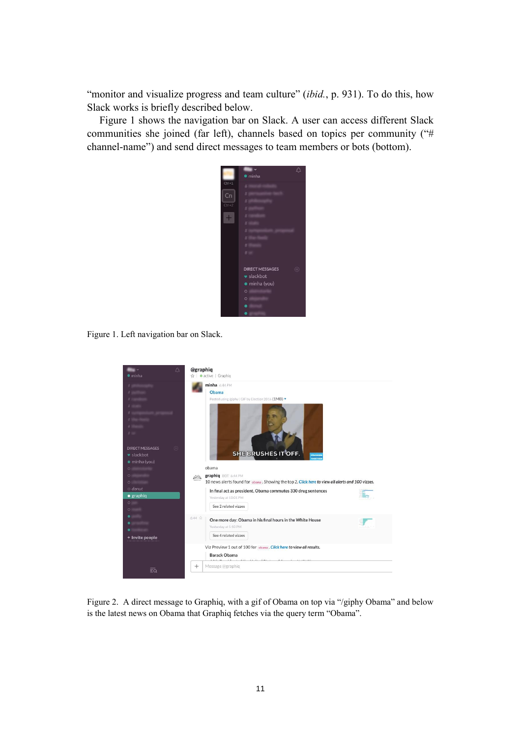"monitor and visualize progress and team culture" *(ibid., p. 931)*. To do this, how Slack works is briefly described below.

Figure 1 shows the navigation bar on Slack. A user can access different Slack communities she joined (far left), channels based on topics per community ("# channel-name") and send direct messages to team members or bots (bottom).



Figure 1. Left navigation bar on Slack.



Figure 2. A direct message to Graphiq, with a gif of Obama on top via "/giphy Obama" and below is the latest news on Obama that Graphiq fetches via the query term "Obama".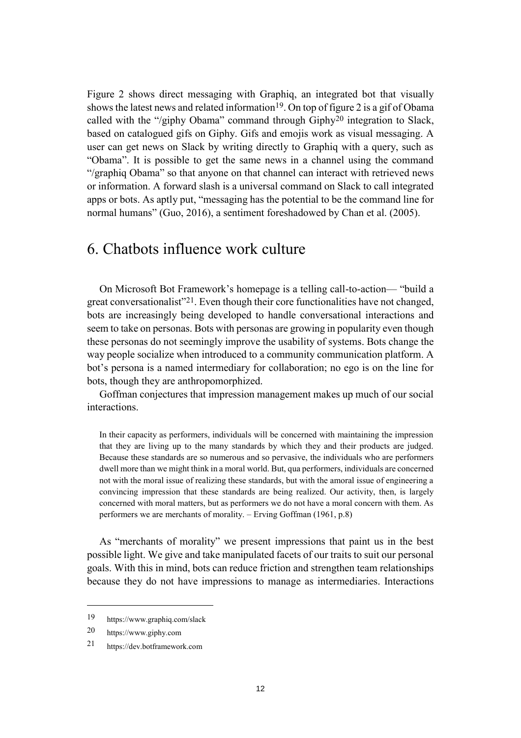Figure 2 shows direct messaging with Graphiq, an integrated bot that visually shows the latest news and related information<sup>19</sup>. On top of figure 2 is a gif of Obama called with the "/giphy Obama" command through Giphy20 integration to Slack, based on catalogued gifs on Giphy. Gifs and emojis work as visual messaging. A user can get news on Slack by writing directly to Graphiq with a query, such as "Obama". It is possible to get the same news in a channel using the command "/graphiq Obama" so that anyone on that channel can interact with retrieved news or information. A forward slash is a universal command on Slack to call integrated apps or bots. As aptly put, "messaging has the potential to be the command line for normal humans" (Guo, 2016), a sentiment foreshadowed by Chan et al. (2005).

### 6. Chatbots influence work culture

On Microsoft Bot Framework's homepage is a telling call-to-action— "build a great conversationalist"21. Even though their core functionalities have not changed, bots are increasingly being developed to handle conversational interactions and seem to take on personas. Bots with personas are growing in popularity even though these personas do not seemingly improve the usability of systems. Bots change the way people socialize when introduced to a community communication platform. A bot's persona is a named intermediary for collaboration; no ego is on the line for bots, though they are anthropomorphized.

Goffman conjectures that impression management makes up much of our social interactions.

In their capacity as performers, individuals will be concerned with maintaining the impression that they are living up to the many standards by which they and their products are judged. Because these standards are so numerous and so pervasive, the individuals who are performers dwell more than we might think in a moral world. But, qua performers, individuals are concerned not with the moral issue of realizing these standards, but with the amoral issue of engineering a convincing impression that these standards are being realized. Our activity, then, is largely concerned with moral matters, but as performers we do not have a moral concern with them. As performers we are merchants of morality. – Erving Goffman (1961, p.8)

As "merchants of morality" we present impressions that paint us in the best possible light. We give and take manipulated facets of our traits to suit our personal goals. With this in mind, bots can reduce friction and strengthen team relationships because they do not have impressions to manage as intermediaries. Interactions

<sup>19</sup> https://www.graphiq.com/slack

<sup>20</sup> https://www.giphy.com

<sup>21</sup> https://dev.botframework.com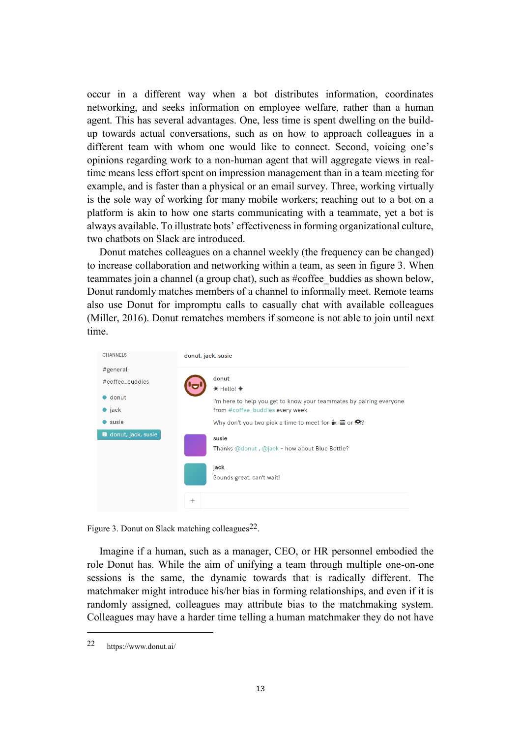occur in a different way when a bot distributes information, coordinates networking, and seeks information on employee welfare, rather than a human agent. This has several advantages. One, less time is spent dwelling on the buildup towards actual conversations, such as on how to approach colleagues in a different team with whom one would like to connect. Second, voicing one's opinions regarding work to a non-human agent that will aggregate views in realtime means less effort spent on impression management than in a team meeting for example, and is faster than a physical or an email survey. Three, working virtually is the sole way of working for many mobile workers; reaching out to a bot on a platform is akin to how one starts communicating with a teammate, yet a bot is always available. To illustrate bots' effectiveness in forming organizational culture, two chatbots on Slack are introduced.

Donut matches colleagues on a channel weekly (the frequency can be changed) to increase collaboration and networking within a team, as seen in figure 3. When teammates join a channel (a group chat), such as #coffee\_buddies as shown below, Donut randomly matches members of a channel to informally meet. Remote teams also use Donut for impromptu calls to casually chat with available colleagues (Miller, 2016). Donut rematches members if someone is not able to join until next time.



Figure 3. Donut on Slack matching colleagues  $22$ .

Imagine if a human, such as a manager, CEO, or HR personnel embodied the role Donut has. While the aim of unifying a team through multiple one-on-one sessions is the same, the dynamic towards that is radically different. The matchmaker might introduce his/her bias in forming relationships, and even if it is randomly assigned, colleagues may attribute bias to the matchmaking system. Colleagues may have a harder time telling a human matchmaker they do not have

<sup>22</sup> https://www.donut.ai/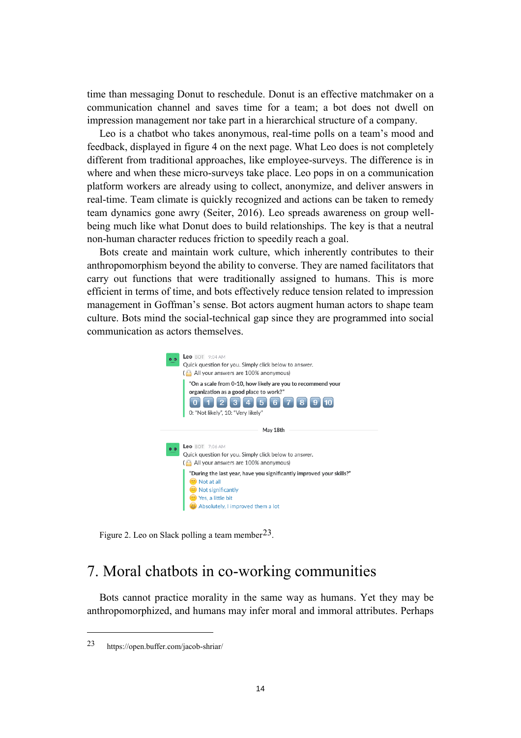time than messaging Donut to reschedule. Donut is an effective matchmaker on a communication channel and saves time for a team; a bot does not dwell on impression management nor take part in a hierarchical structure of a company.

Leo is a chatbot who takes anonymous, real-time polls on a team's mood and feedback, displayed in figure 4 on the next page. What Leo does is not completely different from traditional approaches, like employee-surveys. The difference is in where and when these micro-surveys take place. Leo pops in on a communication platform workers are already using to collect, anonymize, and deliver answers in real-time. Team climate is quickly recognized and actions can be taken to remedy team dynamics gone awry (Seiter, 2016). Leo spreads awareness on group wellbeing much like what Donut does to build relationships. The key is that a neutral non-human character reduces friction to speedily reach a goal.

Bots create and maintain work culture, which inherently contributes to their anthropomorphism beyond the ability to converse. They are named facilitators that carry out functions that were traditionally assigned to humans. This is more efficient in terms of time, and bots effectively reduce tension related to impression management in Goffman's sense. Bot actors augment human actors to shape team culture. Bots mind the social-technical gap since they are programmed into social communication as actors themselves.



Figure 2. Leo on Slack polling a team member  $2^3$ .

# 7. Moral chatbots in co-working communities

Bots cannot practice morality in the same way as humans. Yet they may be anthropomorphized, and humans may infer moral and immoral attributes. Perhaps

<sup>23</sup> https://open.buffer.com/jacob-shriar/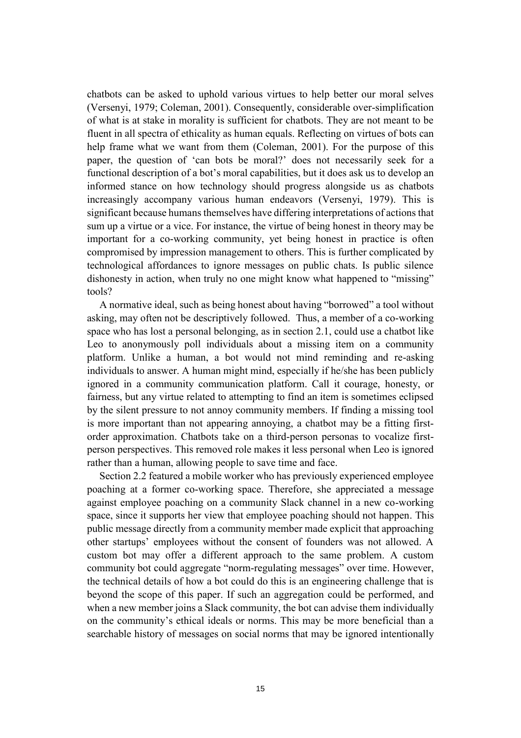chatbots can be asked to uphold various virtues to help better our moral selves (Versenyi, 1979; Coleman, 2001). Consequently, considerable over-simplification of what is at stake in morality is sufficient for chatbots. They are not meant to be fluent in all spectra of ethicality as human equals. Reflecting on virtues of bots can help frame what we want from them (Coleman, 2001). For the purpose of this paper, the question of 'can bots be moral?' does not necessarily seek for a functional description of a bot's moral capabilities, but it does ask us to develop an informed stance on how technology should progress alongside us as chatbots increasingly accompany various human endeavors (Versenyi, 1979). This is significant because humans themselves have differing interpretations of actions that sum up a virtue or a vice. For instance, the virtue of being honest in theory may be important for a co-working community, yet being honest in practice is often compromised by impression management to others. This is further complicated by technological affordances to ignore messages on public chats. Is public silence dishonesty in action, when truly no one might know what happened to "missing" tools?

A normative ideal, such as being honest about having "borrowed" a tool without asking, may often not be descriptively followed. Thus, a member of a co-working space who has lost a personal belonging, as in section 2.1, could use a chatbot like Leo to anonymously poll individuals about a missing item on a community platform. Unlike a human, a bot would not mind reminding and re-asking individuals to answer. A human might mind, especially if he/she has been publicly ignored in a community communication platform. Call it courage, honesty, or fairness, but any virtue related to attempting to find an item is sometimes eclipsed by the silent pressure to not annoy community members. If finding a missing tool is more important than not appearing annoying, a chatbot may be a fitting firstorder approximation. Chatbots take on a third-person personas to vocalize firstperson perspectives. This removed role makes it less personal when Leo is ignored rather than a human, allowing people to save time and face.

Section 2.2 featured a mobile worker who has previously experienced employee poaching at a former co-working space. Therefore, she appreciated a message against employee poaching on a community Slack channel in a new co-working space, since it supports her view that employee poaching should not happen. This public message directly from a community member made explicit that approaching other startups' employees without the consent of founders was not allowed. A custom bot may offer a different approach to the same problem. A custom community bot could aggregate "norm-regulating messages" over time. However, the technical details of how a bot could do this is an engineering challenge that is beyond the scope of this paper. If such an aggregation could be performed, and when a new member joins a Slack community, the bot can advise them individually on the community's ethical ideals or norms. This may be more beneficial than a searchable history of messages on social norms that may be ignored intentionally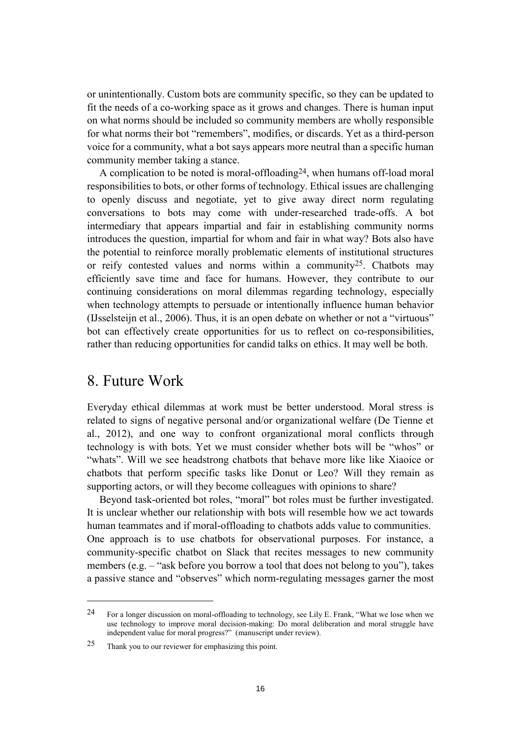or unintentionally. Custom bots are community specific, so they can be updated to fit the needs of a co-working space as it grows and changes. There is human input on what norms should be included so community members are wholly responsible for what norms their bot "remembers", modifies, or discards. Yet as a third-person voice for a community, what a bot says appears more neutral than a specific human community member taking a stance.

A complication to be noted is moral-offloading24, when humans off-load moral responsibilities to bots, or other forms of technology. Ethical issues are challenging to openly discuss and negotiate, yet to give away direct norm regulating conversations to bots may come with under-researched trade-offs. A bot intermediary that appears impartial and fair in establishing community norms introduces the question, impartial for whom and fair in what way? Bots also have the potential to reinforce morally problematic elements of institutional structures or reify contested values and norms within a community<sup>25</sup>. Chatbots may efficiently save time and face for humans. However, they contribute to our continuing considerations on moral dilemmas regarding technology, especially when technology attempts to persuade or intentionally influence human behavior (IJsselsteijn et al., 2006). Thus, it is an open debate on whether or not a "virtuous" bot can effectively create opportunities for us to reflect on co-responsibilities, rather than reducing opportunities for candid talks on ethics. It may well be both.

#### 8. Future Work

 $\overline{a}$ 

Everyday ethical dilemmas at work must be better understood. Moral stress is related to signs of negative personal and/or organizational welfare (De Tienne et al., 2012), and one way to confront organizational moral conflicts through technology is with bots. Yet we must consider whether bots will be "whos" or "whats". Will we see headstrong chatbots that behave more like like Xiaoice or chatbots that perform specific tasks like Donut or Leo? Will they remain as supporting actors, or will they become colleagues with opinions to share?

Beyond task-oriented bot roles, "moral" bot roles must be further investigated. It is unclear whether our relationship with bots will resemble how we act towards human teammates and if moral-offloading to chatbots adds value to communities. One approach is to use chatbots for observational purposes. For instance, a community-specific chatbot on Slack that recites messages to new community members (e.g. – "ask before you borrow a tool that does not belong to you"), takes a passive stance and "observes" which norm-regulating messages garner the most

<sup>24</sup> For a longer discussion on moral-offloading to technology, see Lily E. Frank, "What we lose when we use technology to improve moral decision-making: Do moral deliberation and moral struggle have independent value for moral progress?" (manuscript under review).

<sup>25</sup> Thank you to our reviewer for emphasizing this point.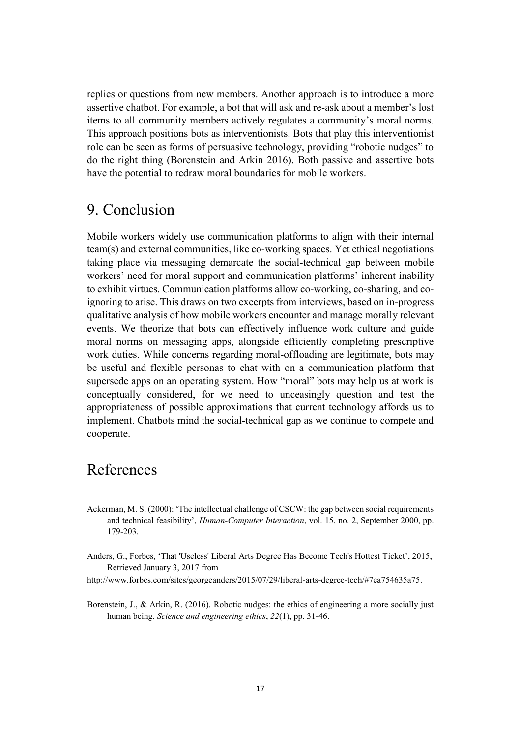replies or questions from new members. Another approach is to introduce a more assertive chatbot. For example, a bot that will ask and re-ask about a member's lost items to all community members actively regulates a community's moral norms. This approach positions bots as interventionists. Bots that play this interventionist role can be seen as forms of persuasive technology, providing "robotic nudges" to do the right thing (Borenstein and Arkin 2016). Both passive and assertive bots have the potential to redraw moral boundaries for mobile workers.

### 9. Conclusion

Mobile workers widely use communication platforms to align with their internal team(s) and external communities, like co-working spaces. Yet ethical negotiations taking place via messaging demarcate the social-technical gap between mobile workers' need for moral support and communication platforms' inherent inability to exhibit virtues. Communication platforms allow co-working, co-sharing, and coignoring to arise. This draws on two excerpts from interviews, based on in-progress qualitative analysis of how mobile workers encounter and manage morally relevant events. We theorize that bots can effectively influence work culture and guide moral norms on messaging apps, alongside efficiently completing prescriptive work duties. While concerns regarding moral-offloading are legitimate, bots may be useful and flexible personas to chat with on a communication platform that supersede apps on an operating system. How "moral" bots may help us at work is conceptually considered, for we need to unceasingly question and test the appropriateness of possible approximations that current technology affords us to implement. Chatbots mind the social-technical gap as we continue to compete and cooperate.

## References

- Ackerman, M. S. (2000): 'The intellectual challenge of CSCW: the gap between social requirements and technical feasibility', *Human-Computer Interaction*, vol. 15, no. 2, September 2000, pp. 179-203.
- Anders, G., Forbes, 'That 'Useless' Liberal Arts Degree Has Become Tech's Hottest Ticket', 2015, Retrieved January 3, 2017 from
- http://www.forbes.com/sites/georgeanders/2015/07/29/liberal-arts-degree-tech/#7ea754635a75.
- Borenstein, J., & Arkin, R. (2016). Robotic nudges: the ethics of engineering a more socially just human being. *Science and engineering ethics*, *22*(1), pp. 31-46.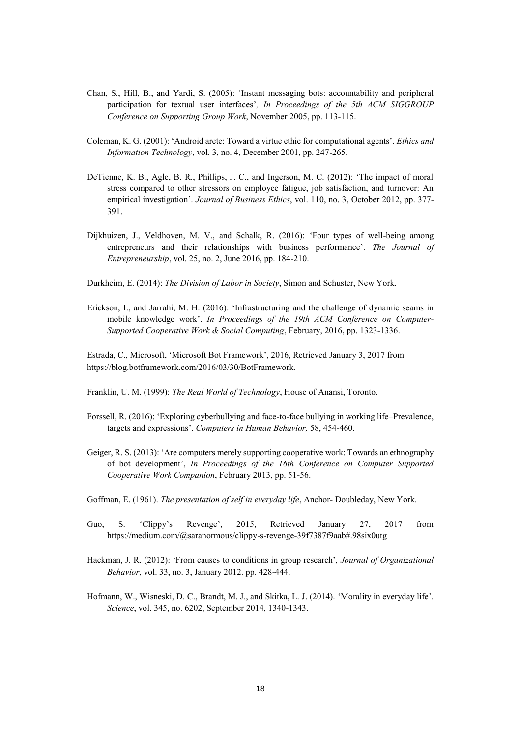- Chan, S., Hill, B., and Yardi, S. (2005): 'Instant messaging bots: accountability and peripheral participation for textual user interfaces'*, In Proceedings of the 5th ACM SIGGROUP Conference on Supporting Group Work*, November 2005, pp. 113-115.
- Coleman, K. G. (2001): 'Android arete: Toward a virtue ethic for computational agents'. *Ethics and Information Technology*, vol. 3, no. 4, December 2001, pp. 247-265.
- DeTienne, K. B., Agle, B. R., Phillips, J. C., and Ingerson, M. C. (2012): 'The impact of moral stress compared to other stressors on employee fatigue, job satisfaction, and turnover: An empirical investigation'. *Journal of Business Ethics*, vol. 110, no. 3, October 2012, pp. 377- 391.
- Dijkhuizen, J., Veldhoven, M. V., and Schalk, R. (2016): 'Four types of well-being among entrepreneurs and their relationships with business performance'. *The Journal of Entrepreneurship*, vol. 25, no. 2, June 2016, pp. 184-210.
- Durkheim, E. (2014): *The Division of Labor in Society*, Simon and Schuster, New York.
- Erickson, I., and Jarrahi, M. H. (2016): 'Infrastructuring and the challenge of dynamic seams in mobile knowledge work'. *In Proceedings of the 19th ACM Conference on Computer-Supported Cooperative Work & Social Computing*, February, 2016, pp. 1323-1336.

Estrada, C., Microsoft, 'Microsoft Bot Framework', 2016, Retrieved January 3, 2017 from https://blog.botframework.com/2016/03/30/BotFramework.

- Franklin, U. M. (1999): *The Real World of Technology*, House of Anansi, Toronto.
- Forssell, R. (2016): 'Exploring cyberbullying and face-to-face bullying in working life–Prevalence, targets and expressions'. *Computers in Human Behavior,* 58, 454-460.
- Geiger, R. S. (2013): 'Are computers merely supporting cooperative work: Towards an ethnography of bot development', *In Proceedings of the 16th Conference on Computer Supported Cooperative Work Companion*, February 2013, pp. 51-56.
- Goffman, E. (1961). *The presentation of self in everyday life*, Anchor- Doubleday, New York.
- Guo, S. 'Clippy's Revenge', 2015, Retrieved January 27, 2017 from https://medium.com/@saranormous/clippy-s-revenge-39f7387f9aab#.98six0utg
- Hackman, J. R. (2012): 'From causes to conditions in group research', *Journal of Organizational Behavior*, vol. 33, no. 3, January 2012. pp. 428-444.
- Hofmann, W., Wisneski, D. C., Brandt, M. J., and Skitka, L. J. (2014). 'Morality in everyday life'. *Science*, vol. 345, no. 6202, September 2014, 1340-1343.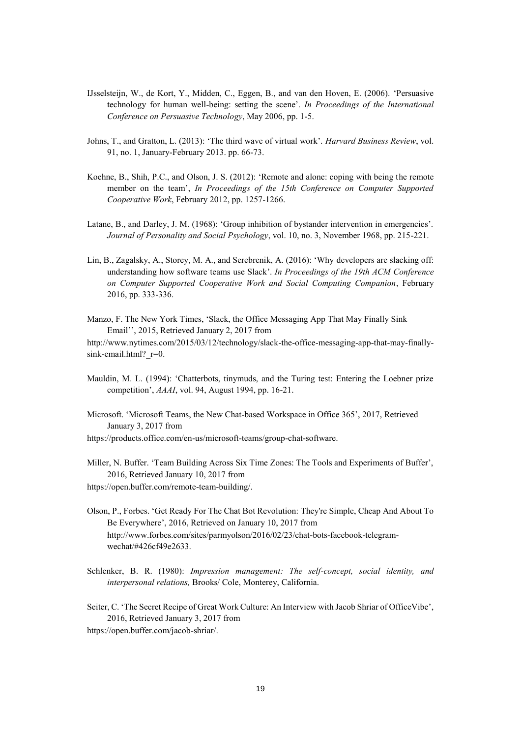- IJsselsteijn, W., de Kort, Y., Midden, C., Eggen, B., and van den Hoven, E. (2006). 'Persuasive technology for human well-being: setting the scene'. *In Proceedings of the International Conference on Persuasive Technology*, May 2006, pp. 1-5.
- Johns, T., and Gratton, L. (2013): 'The third wave of virtual work'. *Harvard Business Review*, vol. 91, no. 1, January-February 2013. pp. 66-73.
- Koehne, B., Shih, P.C., and Olson, J. S. (2012): 'Remote and alone: coping with being the remote member on the team', *In Proceedings of the 15th Conference on Computer Supported Cooperative Work*, February 2012, pp. 1257-1266.
- Latane, B., and Darley, J. M. (1968): 'Group inhibition of bystander intervention in emergencies'. *Journal of Personality and Social Psychology*, vol. 10, no. 3, November 1968, pp. 215-221.
- Lin, B., Zagalsky, A., Storey, M. A., and Serebrenik, A. (2016): 'Why developers are slacking off: understanding how software teams use Slack'. *In Proceedings of the 19th ACM Conference on Computer Supported Cooperative Work and Social Computing Companion*, February 2016, pp. 333-336.
- Manzo, F. The New York Times, 'Slack, the Office Messaging App That May Finally Sink Email'', 2015, Retrieved January 2, 2017 from http://www.nytimes.com/2015/03/12/technology/slack-the-office-messaging-app-that-may-finallysink-email.html? r=0.
- Mauldin, M. L. (1994): 'Chatterbots, tinymuds, and the Turing test: Entering the Loebner prize competition', *AAAI*, vol. 94, August 1994, pp. 16-21.
- Microsoft. 'Microsoft Teams, the New Chat-based Workspace in Office 365', 2017, Retrieved January 3, 2017 from
- https://products.office.com/en-us/microsoft-teams/group-chat-software.

Miller, N. Buffer. 'Team Building Across Six Time Zones: The Tools and Experiments of Buffer', 2016, Retrieved January 10, 2017 from https://open.buffer.com/remote-team-building/.

- Olson, P., Forbes. 'Get Ready For The Chat Bot Revolution: They're Simple, Cheap And About To Be Everywhere', 2016, Retrieved on January 10, 2017 from http://www.forbes.com/sites/parmyolson/2016/02/23/chat-bots-facebook-telegramwechat/#426cf49e2633.
- Schlenker, B. R. (1980): *Impression management: The self-concept, social identity, and interpersonal relations,* Brooks/ Cole, Monterey, California.

Seiter, C. 'The Secret Recipe of Great Work Culture: An Interview with Jacob Shriar of OfficeVibe', 2016, Retrieved January 3, 2017 from

https://open.buffer.com/jacob-shriar/.